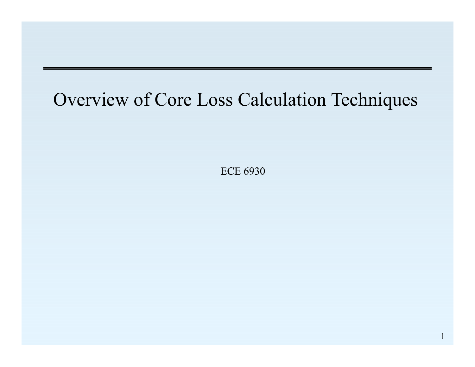#### Overview of Core Loss Calculation Techniques

ECE 6930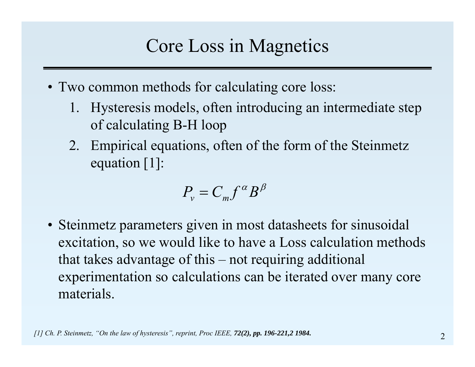# Core Loss in Magnetics

- Two common methods for calculating core loss:
	- 1. Hysteresis models, often introducing an intermediate step of calculating B-H loop
	- 2. Empirical equations, often of the form of the Steinmetz equation [1]:

$$
P_v = C_m f^\alpha B^\beta
$$

• Steinmetz parameters given in most datasheets for sinusoidal excitation, so we would like to have a Loss calculation methods that takes advantage of this – not requiring additional experimentation so calculations can be iterated over many core materials.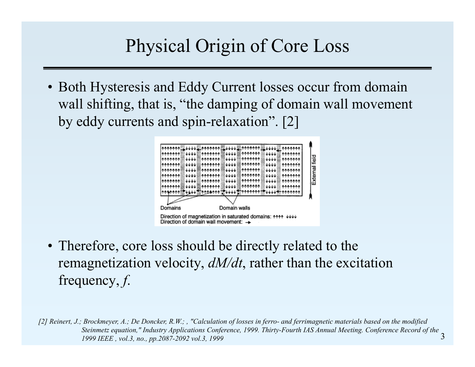# Physical Origin of Core Loss

• Both Hysteresis and Eddy Current losses occur from domain wall shifting, that is, "the damping of domain wall movement by eddy currents and spin-relaxation". [2]



• Therefore, core loss should be directly related to the remagnetization velocity, *dM/dt*, rather than the excitation frequency, *f*.

3*[2] Reinert, J.; Brockmeyer, A.; De Doncker, R.W.; , "Calculation of losses in ferro- and ferrimagnetic materials based on the modified Steinmetz equation," Industry Applications Conference, 1999. Thirty-Fourth IAS Annual Meeting. Conference Record of the 1999 IEEE , vol.3, no., pp.2087-2092 vol.3, 1999*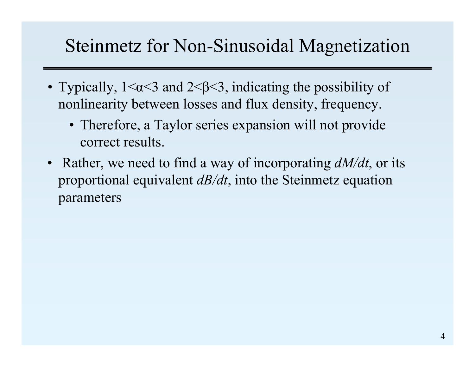### Steinmetz for Non-Sinusoidal Magnetization

- Typically,  $1 \le \alpha \le 3$  and  $2 \le \beta \le 3$ , indicating the possibility of nonlinearity between losses and flux density, frequency.
	- Therefore, a Taylor series expansion will not provide correct results.
- Rather, we need to find a way of incorporating *dM/dt*, or its proportional equivalent *dB/dt*, into the Steinmetz equation parameters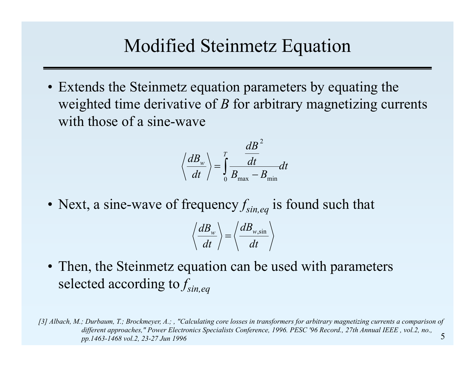### Modified Steinmetz Equation

• Extends the Steinmetz equation parameters by equating the weighted time derivative of *B* for arbitrary magnetizing currents with those of a sine-wave

$$
\left\langle \frac{dB_{w}}{dt} \right\rangle = \int\limits_{0}^{T}\frac{dB^{2}}{B_{\max}-B_{\min}}dt
$$

• Next, a sine-wave of frequency  $f_{\text{sin,eq}}$  is found such that

$$
\left\langle \frac{dB_{w}}{dt} \right\rangle = \left\langle \frac{dB_{w,\sin}}{dt} \right\rangle
$$

• Then, the Steinmetz equation can be used with parameters selected according to *fsin,eq*

5*[3] Albach, M.; Durbaum, T.; Brockmeyer, A.; , "Calculating core losses in transformers for arbitrary magnetizing currents a comparison of different approaches," Power Electronics Specialists Conference, 1996. PESC '96 Record., 27th Annual IEEE , vol.2, no., pp.1463-1468 vol.2, 23-27 Jun 1996*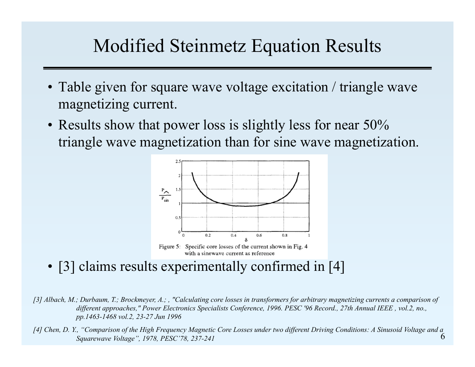# Modified Steinmetz Equation Results

- Table given for square wave voltage excitation / triangle wave magnetizing current.
- Results show that power loss is slightly less for near 50% triangle wave magnetization than for sine wave magnetization.



with a sinewave current as reference

• [3] claims results experimentally confirmed in [4]

*[3] Albach, M.; Durbaum, T.; Brockmeyer, A.; , "Calculating core losses in transformers for arbitrary magnetizing currents a comparison of different approaches," Power Electronics Specialists Conference, 1996. PESC '96 Record., 27th Annual IEEE , vol.2, no., pp.1463-1468 vol.2, 23-27 Jun 1996*

6*[4] Chen, D. Y., "Comparison of the High Frequency Magnetic Core Losses under two different Driving Conditions: A Sinusoid Voltage and a Squarewave Voltage", 1978, PESC'78, 237-241*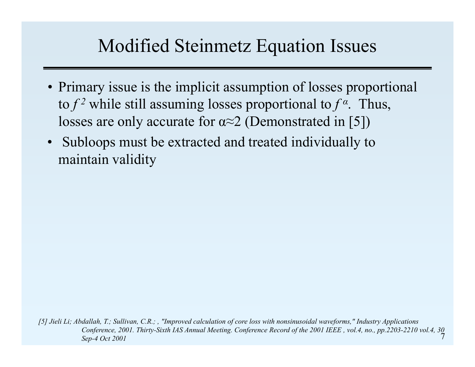# Modified Steinmetz Equation Issues

- Primary issue is the implicit assumption of losses proportional to  $f^2$  while still assuming losses proportional to  $f^{\alpha}$ . Thus, losses are only accurate for  $\alpha \approx 2$  (Demonstrated in [5])
- • Subloops must be extracted and treated individually to maintain validity

7*[5] Jieli Li; Abdallah, T.; Sullivan, C.R.; , "Improved calculation of core loss with nonsinusoidal waveforms," Industry Applications Conference, 2001. Thirty-Sixth IAS Annual Meeting. Conference Record of the 2001 IEEE , vol.4, no., pp.2203-2210 vol.4, 30 Sep-4 Oct 2001*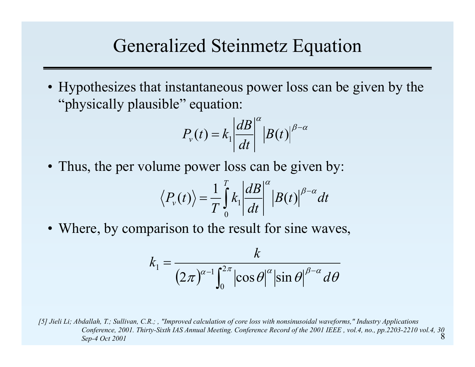#### Generalized Steinmetz Equation

• Hypothesizes that instantaneous power loss can be given by the "physically plausible" equation:

$$
P_v(t) = k_1 \left| \frac{dB}{dt} \right|^\alpha \left| B(t) \right|^{\beta - \alpha}
$$

• Thus, the per volume power loss can be given by:

$$
\langle P_{\nu}(t) \rangle = \frac{1}{T} \int_{0}^{T} k_{1} \left| \frac{dB}{dt} \right|^{\alpha} \left| B(t) \right|^{\beta - \alpha} dt
$$

• Where, by comparison to the result for sine waves,

$$
k_1 = \frac{k}{(2\pi)^{\alpha-1} \int_0^{2\pi} |\cos \theta|^\alpha |\sin \theta|^{\beta-\alpha} d\theta}
$$

8*[5] Jieli Li; Abdallah, T.; Sullivan, C.R.; , "Improved calculation of core loss with nonsinusoidal waveforms," Industry Applications Conference, 2001. Thirty-Sixth IAS Annual Meeting. Conference Record of the 2001 IEEE , vol.4, no., pp.2203-2210 vol.4, 30 Sep-4 Oct 2001*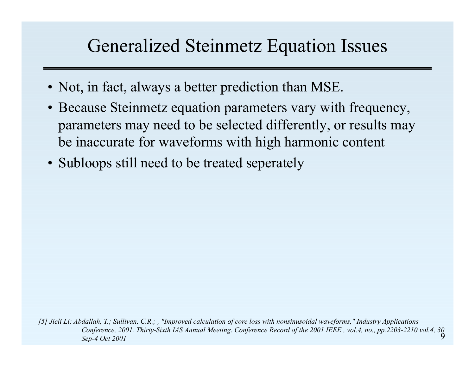#### Generalized Steinmetz Equation Issues

- Not, in fact, always a better prediction than MSE.
- Because Steinmetz equation parameters vary with frequency, parameters may need to be selected differently, or results may be inaccurate for waveforms with high harmonic content
- Subloops still need to be treated seperately

9*[5] Jieli Li; Abdallah, T.; Sullivan, C.R.; , "Improved calculation of core loss with nonsinusoidal waveforms," Industry Applications Conference, 2001. Thirty-Sixth IAS Annual Meeting. Conference Record of the 2001 IEEE , vol.4, no., pp.2203-2210 vol.4, 30 Sep-4 Oct 2001*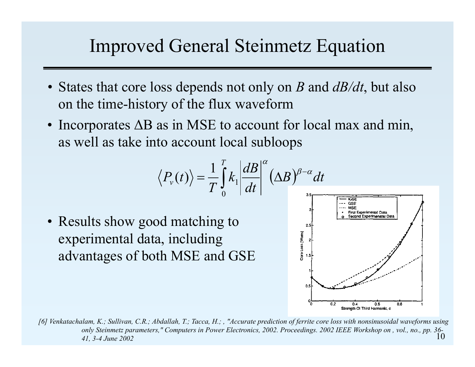#### Improved General Steinmetz Equation

- States that core loss depends not only on *B* and *dB/dt*, but also on the time-history of the flux waveform
- Incorporates  $\Delta B$  as in MSE to account for local max and min, as well as take into account local subloops

$$
\left\langle P_{\nu}(t)\right\rangle =\frac{1}{T}\int\limits_{0}^{T}k_{\mathrm{l}}\left|\frac{dB}{dt}\right|^{\alpha}(\Delta B)^{\beta-\alpha}dt
$$

• Results show good matching to experimental data, including advantages of both MSE and GSE



10*[6] Venkatachalam, K.; Sullivan, C.R.; Abdallah, T.; Tacca, H.; , "Accurate prediction of ferrite core loss with nonsinusoidal waveforms using only Steinmetz parameters," Computers in Power Electronics, 2002. Proceedings. 2002 IEEE Workshop on , vol., no., pp. 36- 41, 3-4 June 2002*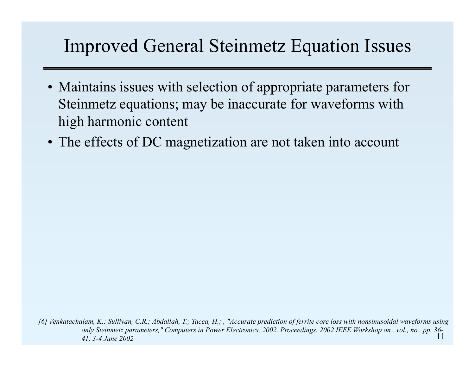# Improved General Steinmetz Equation Issues

- Maintains issues with selection of appropriate parameters for Steinmetz equations; may be inaccurate for waveforms with high harmonic content
- The effects of DC magnetization are not taken into account

11*[6] Venkatachalam, K.; Sullivan, C.R.; Abdallah, T.; Tacca, H.; , "Accurate prediction of ferrite core loss with nonsinusoidal waveforms using only Steinmetz parameters," Computers in Power Electronics, 2002. Proceedings. 2002 IEEE Workshop on , vol., no., pp. 36- 41, 3-4 June 2002*